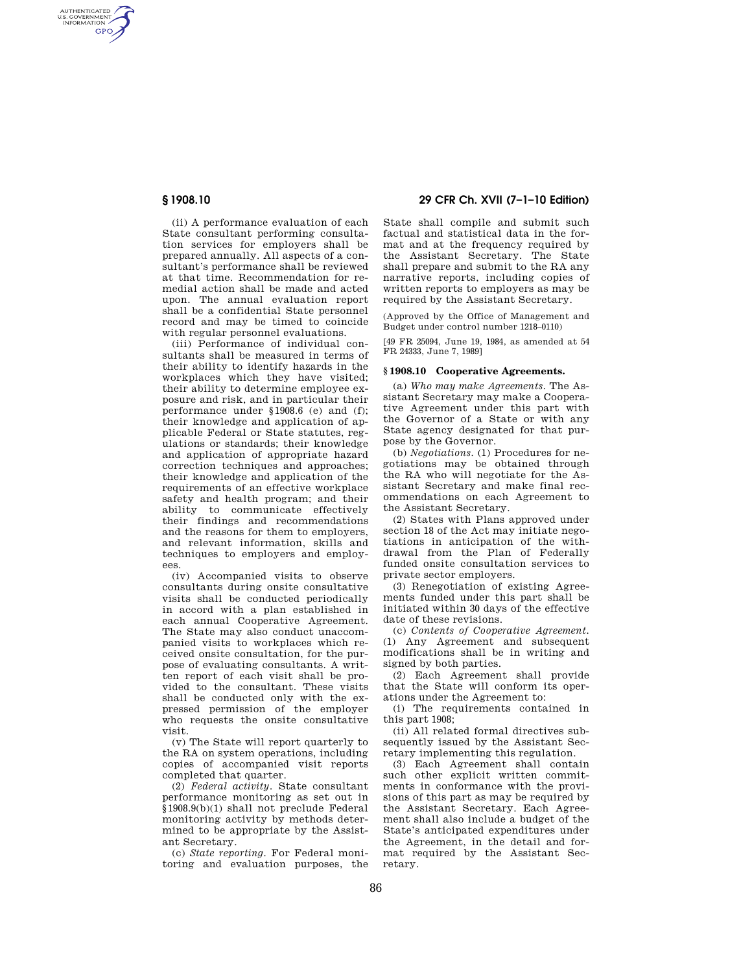AUTHENTICATED<br>U.S. GOVERNMENT<br>INFORMATION **GPO** 

> (ii) A performance evaluation of each State consultant performing consultation services for employers shall be prepared annually. All aspects of a consultant's performance shall be reviewed at that time. Recommendation for remedial action shall be made and acted upon. The annual evaluation report shall be a confidential State personnel record and may be timed to coincide with regular personnel evaluations.

> (iii) Performance of individual consultants shall be measured in terms of their ability to identify hazards in the workplaces which they have visited: their ability to determine employee exposure and risk, and in particular their performance under §1908.6 (e) and (f); their knowledge and application of applicable Federal or State statutes, regulations or standards; their knowledge and application of appropriate hazard correction techniques and approaches; their knowledge and application of the requirements of an effective workplace safety and health program; and their ability to communicate effectively their findings and recommendations and the reasons for them to employers, and relevant information, skills and techniques to employers and employees.

> (iv) Accompanied visits to observe consultants during onsite consultative visits shall be conducted periodically in accord with a plan established in each annual Cooperative Agreement. The State may also conduct unaccompanied visits to workplaces which received onsite consultation, for the purpose of evaluating consultants. A written report of each visit shall be provided to the consultant. These visits shall be conducted only with the expressed permission of the employer who requests the onsite consultative visit.

(v) The State will report quarterly to the RA on system operations, including copies of accompanied visit reports completed that quarter.

(2) *Federal activity.* State consultant performance monitoring as set out in §1908.9(b)(1) shall not preclude Federal monitoring activity by methods determined to be appropriate by the Assistant Secretary.

(c) *State reporting.* For Federal monitoring and evaluation purposes, the

# **§ 1908.10 29 CFR Ch. XVII (7–1–10 Edition)**

State shall compile and submit such factual and statistical data in the format and at the frequency required by the Assistant Secretary. The State shall prepare and submit to the RA any narrative reports, including copies of written reports to employers as may be required by the Assistant Secretary.

(Approved by the Office of Management and Budget under control number 1218–0110)

[49 FR 25094, June 19, 1984, as amended at 54 FR 24333, June 7, 1989]

#### **§ 1908.10 Cooperative Agreements.**

(a) *Who may make Agreements.* The Assistant Secretary may make a Cooperative Agreement under this part with the Governor of a State or with any State agency designated for that purpose by the Governor.

(b) *Negotiations.* (1) Procedures for negotiations may be obtained through the RA who will negotiate for the Assistant Secretary and make final recommendations on each Agreement to the Assistant Secretary.

(2) States with Plans approved under section 18 of the Act may initiate negotiations in anticipation of the withdrawal from the Plan of Federally funded onsite consultation services to private sector employers.

(3) Renegotiation of existing Agreements funded under this part shall be initiated within 30 days of the effective date of these revisions.

(c) *Contents of Cooperative Agreement.*  (1) Any Agreement and subsequent modifications shall be in writing and signed by both parties.

(2) Each Agreement shall provide that the State will conform its operations under the Agreement to:

(i) The requirements contained in this part 1908;

(ii) All related formal directives subsequently issued by the Assistant Secretary implementing this regulation.

(3) Each Agreement shall contain such other explicit written commitments in conformance with the provisions of this part as may be required by the Assistant Secretary. Each Agreement shall also include a budget of the State's anticipated expenditures under the Agreement, in the detail and format required by the Assistant Secretary.